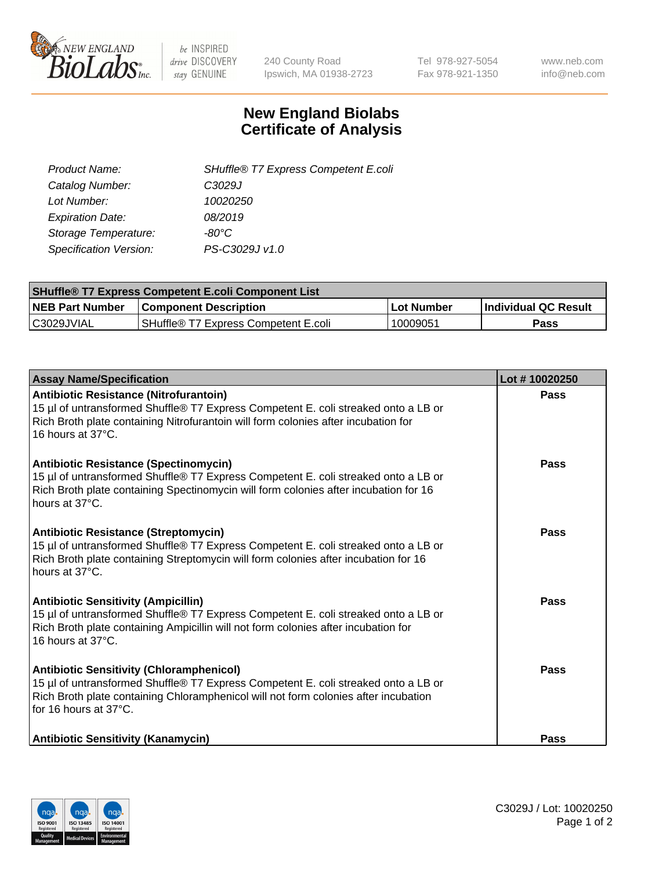

 $be$  INSPIRED drive DISCOVERY stay GENUINE

240 County Road Ipswich, MA 01938-2723 Tel 978-927-5054 Fax 978-921-1350 www.neb.com info@neb.com

## **New England Biolabs Certificate of Analysis**

| SHuffle® T7 Express Competent E.coli |
|--------------------------------------|
| C <sub>3029</sub> J                  |
| 10020250                             |
| 08/2019                              |
| -80°C                                |
| PS-C3029J v1.0                       |
|                                      |

| <b>SHuffle<sup>®</sup> T7 Express Competent E.coli Component List</b> |                                         |            |                             |  |
|-----------------------------------------------------------------------|-----------------------------------------|------------|-----------------------------|--|
| <b>NEB Part Number</b>                                                | <b>Component Description</b>            | Lot Number | <b>Individual QC Result</b> |  |
| C3029JVIAL                                                            | l SHuffle® T7 Express Competent E.coli_ | 10009051   | Pass                        |  |

| <b>Assay Name/Specification</b>                                                                                                                                                                                                                       | Lot #10020250 |
|-------------------------------------------------------------------------------------------------------------------------------------------------------------------------------------------------------------------------------------------------------|---------------|
| <b>Antibiotic Resistance (Nitrofurantoin)</b><br>15 µl of untransformed Shuffle® T7 Express Competent E. coli streaked onto a LB or<br>Rich Broth plate containing Nitrofurantoin will form colonies after incubation for<br>16 hours at 37°C.        | Pass          |
| <b>Antibiotic Resistance (Spectinomycin)</b><br>15 µl of untransformed Shuffle® T7 Express Competent E. coli streaked onto a LB or<br>Rich Broth plate containing Spectinomycin will form colonies after incubation for 16<br>hours at 37°C.          | Pass          |
| <b>Antibiotic Resistance (Streptomycin)</b><br>15 µl of untransformed Shuffle® T7 Express Competent E. coli streaked onto a LB or<br>Rich Broth plate containing Streptomycin will form colonies after incubation for 16<br>hours at 37°C.            | Pass          |
| <b>Antibiotic Sensitivity (Ampicillin)</b><br>15 µl of untransformed Shuffle® T7 Express Competent E. coli streaked onto a LB or<br>Rich Broth plate containing Ampicillin will not form colonies after incubation for<br>16 hours at $37^{\circ}$ C. | Pass          |
| <b>Antibiotic Sensitivity (Chloramphenicol)</b><br>15 µl of untransformed Shuffle® T7 Express Competent E. coli streaked onto a LB or<br>Rich Broth plate containing Chloramphenicol will not form colonies after incubation<br>for 16 hours at 37°C. | Pass          |
| <b>Antibiotic Sensitivity (Kanamycin)</b>                                                                                                                                                                                                             | Pass          |